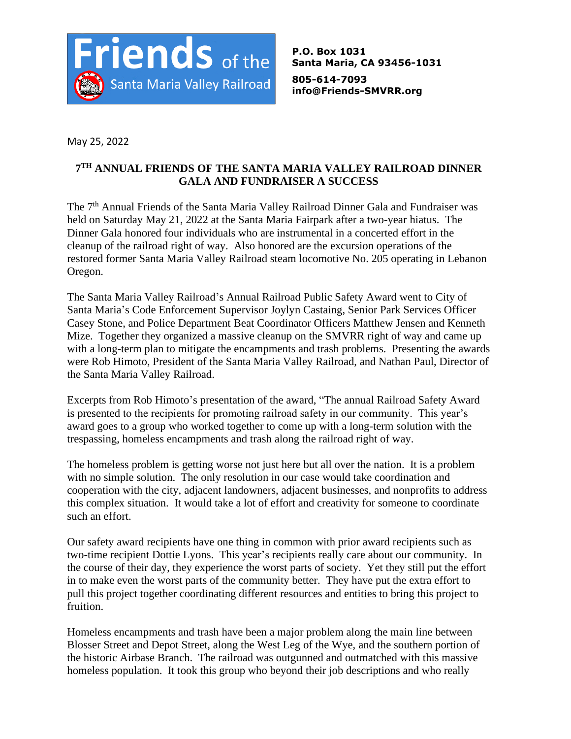

**P.O. Box 1031 Santa Maria, CA 93456-1031**

**805-614-7093 info@Friends-SMVRR.org**

May 25, 2022

## **7 TH ANNUAL FRIENDS OF THE SANTA MARIA VALLEY RAILROAD DINNER GALA AND FUNDRAISER A SUCCESS**

The 7<sup>th</sup> Annual Friends of the Santa Maria Valley Railroad Dinner Gala and Fundraiser was held on Saturday May 21, 2022 at the Santa Maria Fairpark after a two-year hiatus. The Dinner Gala honored four individuals who are instrumental in a concerted effort in the cleanup of the railroad right of way. Also honored are the excursion operations of the restored former Santa Maria Valley Railroad steam locomotive No. 205 operating in Lebanon Oregon.

The Santa Maria Valley Railroad's Annual Railroad Public Safety Award went to City of Santa Maria's Code Enforcement Supervisor Joylyn Castaing, Senior Park Services Officer Casey Stone, and Police Department Beat Coordinator Officers Matthew Jensen and Kenneth Mize. Together they organized a massive cleanup on the SMVRR right of way and came up with a long-term plan to mitigate the encampments and trash problems. Presenting the awards were Rob Himoto, President of the Santa Maria Valley Railroad, and Nathan Paul, Director of the Santa Maria Valley Railroad.

Excerpts from Rob Himoto's presentation of the award, "The annual Railroad Safety Award is presented to the recipients for promoting railroad safety in our community. This year's award goes to a group who worked together to come up with a long-term solution with the trespassing, homeless encampments and trash along the railroad right of way.

The homeless problem is getting worse not just here but all over the nation. It is a problem with no simple solution. The only resolution in our case would take coordination and cooperation with the city, adjacent landowners, adjacent businesses, and nonprofits to address this complex situation. It would take a lot of effort and creativity for someone to coordinate such an effort.

Our safety award recipients have one thing in common with prior award recipients such as two-time recipient Dottie Lyons. This year's recipients really care about our community. In the course of their day, they experience the worst parts of society. Yet they still put the effort in to make even the worst parts of the community better. They have put the extra effort to pull this project together coordinating different resources and entities to bring this project to fruition.

Homeless encampments and trash have been a major problem along the main line between Blosser Street and Depot Street, along the West Leg of the Wye, and the southern portion of the historic Airbase Branch. The railroad was outgunned and outmatched with this massive homeless population. It took this group who beyond their job descriptions and who really